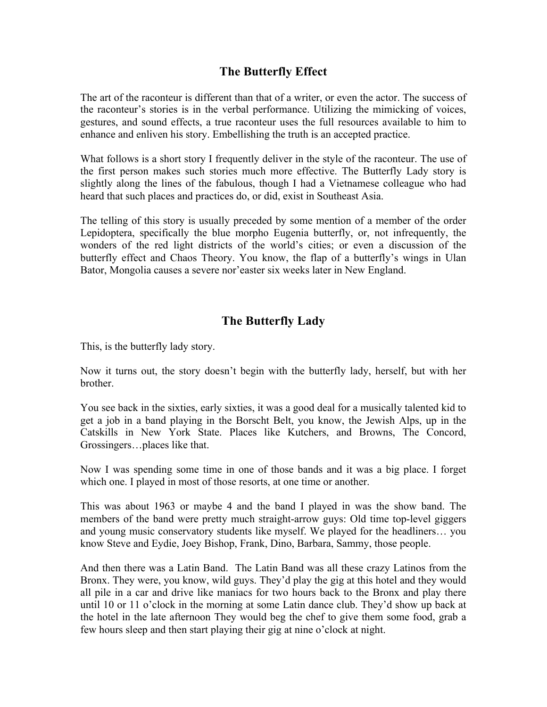## **The Butterfly Effect**

The art of the raconteur is different than that of a writer, or even the actor. The success of the raconteur's stories is in the verbal performance. Utilizing the mimicking of voices, gestures, and sound effects, a true raconteur uses the full resources available to him to enhance and enliven his story. Embellishing the truth is an accepted practice.

What follows is a short story I frequently deliver in the style of the raconteur. The use of the first person makes such stories much more effective. The Butterfly Lady story is slightly along the lines of the fabulous, though I had a Vietnamese colleague who had heard that such places and practices do, or did, exist in Southeast Asia.

The telling of this story is usually preceded by some mention of a member of the order Lepidoptera, specifically the blue morpho Eugenia butterfly, or, not infrequently, the wonders of the red light districts of the world's cities; or even a discussion of the butterfly effect and Chaos Theory. You know, the flap of a butterfly's wings in Ulan Bator, Mongolia causes a severe nor'easter six weeks later in New England.

## **The Butterfly Lady**

This, is the butterfly lady story.

Now it turns out, the story doesn't begin with the butterfly lady, herself, but with her brother.

You see back in the sixties, early sixties, it was a good deal for a musically talented kid to get a job in a band playing in the Borscht Belt, you know, the Jewish Alps, up in the Catskills in New York State. Places like Kutchers, and Browns, The Concord, Grossingers…places like that.

Now I was spending some time in one of those bands and it was a big place. I forget which one. I played in most of those resorts, at one time or another.

This was about 1963 or maybe 4 and the band I played in was the show band. The members of the band were pretty much straight-arrow guys: Old time top-level giggers and young music conservatory students like myself. We played for the headliners… you know Steve and Eydie, Joey Bishop, Frank, Dino, Barbara, Sammy, those people.

And then there was a Latin Band. The Latin Band was all these crazy Latinos from the Bronx. They were, you know, wild guys. They'd play the gig at this hotel and they would all pile in a car and drive like maniacs for two hours back to the Bronx and play there until 10 or 11 o'clock in the morning at some Latin dance club. They'd show up back at the hotel in the late afternoon They would beg the chef to give them some food, grab a few hours sleep and then start playing their gig at nine o'clock at night.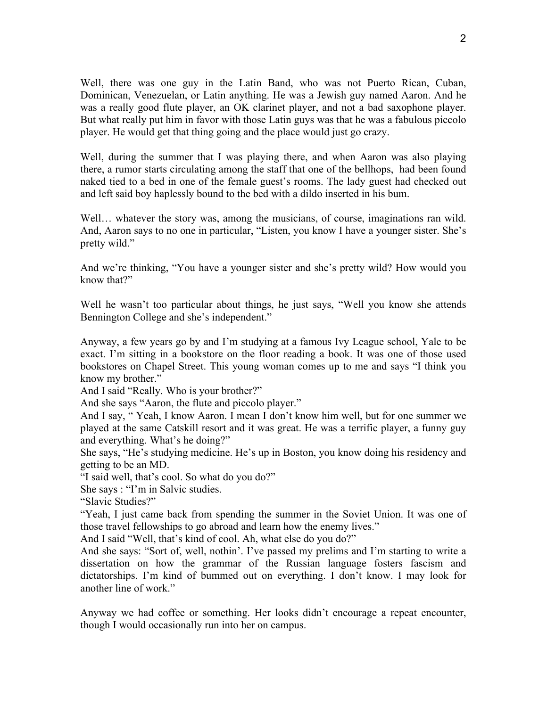Well, there was one guy in the Latin Band, who was not Puerto Rican, Cuban, Dominican, Venezuelan, or Latin anything. He was a Jewish guy named Aaron. And he was a really good flute player, an OK clarinet player, and not a bad saxophone player. But what really put him in favor with those Latin guys was that he was a fabulous piccolo player. He would get that thing going and the place would just go crazy.

Well, during the summer that I was playing there, and when Aaron was also playing there, a rumor starts circulating among the staff that one of the bellhops, had been found naked tied to a bed in one of the female guest's rooms. The lady guest had checked out and left said boy haplessly bound to the bed with a dildo inserted in his bum.

Well… whatever the story was, among the musicians, of course, imaginations ran wild. And, Aaron says to no one in particular, "Listen, you know I have a younger sister. She's pretty wild."

And we're thinking, "You have a younger sister and she's pretty wild? How would you know that?"

Well he wasn't too particular about things, he just says, "Well you know she attends Bennington College and she's independent."

Anyway, a few years go by and I'm studying at a famous Ivy League school, Yale to be exact. I'm sitting in a bookstore on the floor reading a book. It was one of those used bookstores on Chapel Street. This young woman comes up to me and says "I think you know my brother."

And I said "Really. Who is your brother?"

And she says "Aaron, the flute and piccolo player."

And I say, " Yeah, I know Aaron. I mean I don't know him well, but for one summer we played at the same Catskill resort and it was great. He was a terrific player, a funny guy and everything. What's he doing?"

She says, "He's studying medicine. He's up in Boston, you know doing his residency and getting to be an MD.

"I said well, that's cool. So what do you do?"

She says : "I'm in Salvic studies.

"Slavic Studies?"

"Yeah, I just came back from spending the summer in the Soviet Union. It was one of those travel fellowships to go abroad and learn how the enemy lives."

And I said "Well, that's kind of cool. Ah, what else do you do?"

And she says: "Sort of, well, nothin'. I've passed my prelims and I'm starting to write a dissertation on how the grammar of the Russian language fosters fascism and dictatorships. I'm kind of bummed out on everything. I don't know. I may look for another line of work."

Anyway we had coffee or something. Her looks didn't encourage a repeat encounter, though I would occasionally run into her on campus.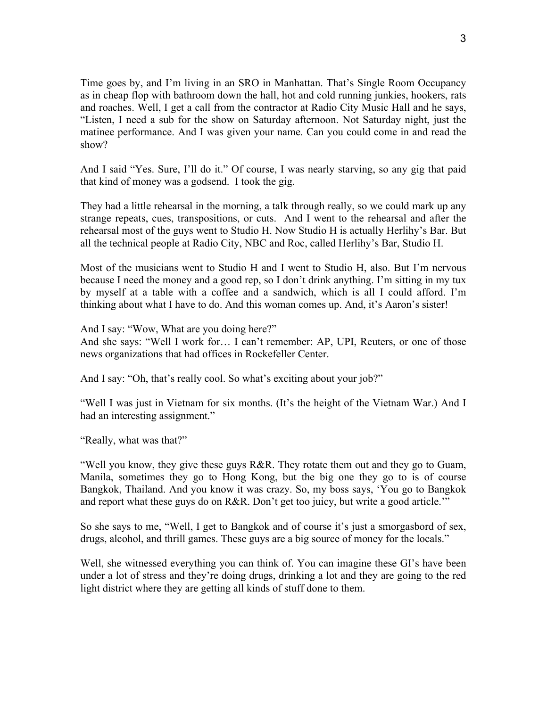Time goes by, and I'm living in an SRO in Manhattan. That's Single Room Occupancy as in cheap flop with bathroom down the hall, hot and cold running junkies, hookers, rats and roaches. Well, I get a call from the contractor at Radio City Music Hall and he says, "Listen, I need a sub for the show on Saturday afternoon. Not Saturday night, just the matinee performance. And I was given your name. Can you could come in and read the show?

And I said "Yes. Sure, I'll do it." Of course, I was nearly starving, so any gig that paid that kind of money was a godsend. I took the gig.

They had a little rehearsal in the morning, a talk through really, so we could mark up any strange repeats, cues, transpositions, or cuts. And I went to the rehearsal and after the rehearsal most of the guys went to Studio H. Now Studio H is actually Herlihy's Bar. But all the technical people at Radio City, NBC and Roc, called Herlihy's Bar, Studio H.

Most of the musicians went to Studio H and I went to Studio H, also. But I'm nervous because I need the money and a good rep, so I don't drink anything. I'm sitting in my tux by myself at a table with a coffee and a sandwich, which is all I could afford. I'm thinking about what I have to do. And this woman comes up. And, it's Aaron's sister!

And I say: "Wow, What are you doing here?"

And she says: "Well I work for… I can't remember: AP, UPI, Reuters, or one of those news organizations that had offices in Rockefeller Center.

And I say: "Oh, that's really cool. So what's exciting about your job?"

"Well I was just in Vietnam for six months. (It's the height of the Vietnam War.) And I had an interesting assignment."

"Really, what was that?"

"Well you know, they give these guys R&R. They rotate them out and they go to Guam, Manila, sometimes they go to Hong Kong, but the big one they go to is of course Bangkok, Thailand. And you know it was crazy. So, my boss says, 'You go to Bangkok and report what these guys do on R&R. Don't get too juicy, but write a good article.'"

So she says to me, "Well, I get to Bangkok and of course it's just a smorgasbord of sex, drugs, alcohol, and thrill games. These guys are a big source of money for the locals."

Well, she witnessed everything you can think of. You can imagine these GI's have been under a lot of stress and they're doing drugs, drinking a lot and they are going to the red light district where they are getting all kinds of stuff done to them.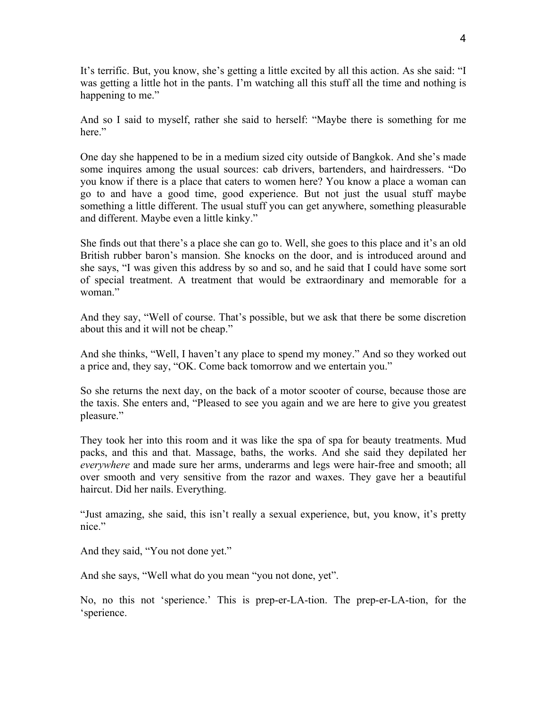It's terrific. But, you know, she's getting a little excited by all this action. As she said: "I was getting a little hot in the pants. I'm watching all this stuff all the time and nothing is happening to me."

And so I said to myself, rather she said to herself: "Maybe there is something for me here."

One day she happened to be in a medium sized city outside of Bangkok. And she's made some inquires among the usual sources: cab drivers, bartenders, and hairdressers. "Do you know if there is a place that caters to women here? You know a place a woman can go to and have a good time, good experience. But not just the usual stuff maybe something a little different. The usual stuff you can get anywhere, something pleasurable and different. Maybe even a little kinky."

She finds out that there's a place she can go to. Well, she goes to this place and it's an old British rubber baron's mansion. She knocks on the door, and is introduced around and she says, "I was given this address by so and so, and he said that I could have some sort of special treatment. A treatment that would be extraordinary and memorable for a woman<sup>"</sup>

And they say, "Well of course. That's possible, but we ask that there be some discretion about this and it will not be cheap."

And she thinks, "Well, I haven't any place to spend my money." And so they worked out a price and, they say, "OK. Come back tomorrow and we entertain you."

So she returns the next day, on the back of a motor scooter of course, because those are the taxis. She enters and, "Pleased to see you again and we are here to give you greatest pleasure."

They took her into this room and it was like the spa of spa for beauty treatments. Mud packs, and this and that. Massage, baths, the works. And she said they depilated her *everywhere* and made sure her arms, underarms and legs were hair-free and smooth; all over smooth and very sensitive from the razor and waxes. They gave her a beautiful haircut. Did her nails. Everything.

"Just amazing, she said, this isn't really a sexual experience, but, you know, it's pretty nice."

And they said, "You not done yet."

And she says, "Well what do you mean "you not done, yet".

No, no this not 'sperience.' This is prep-er-LA-tion. The prep-er-LA-tion, for the 'sperience.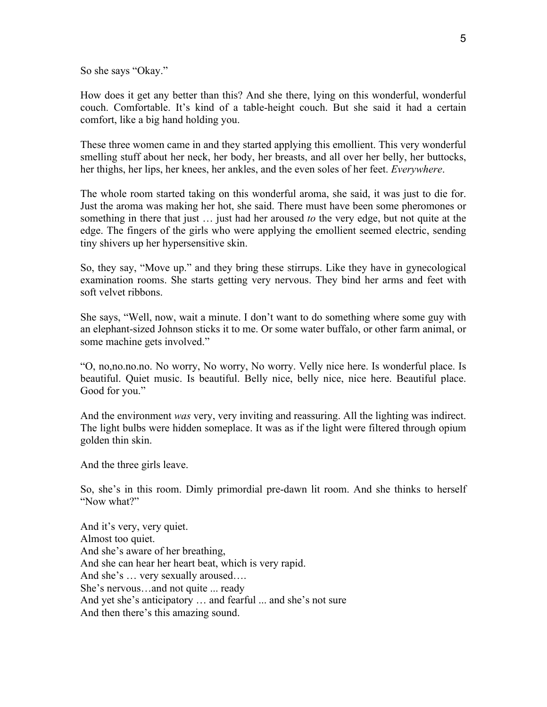So she says "Okay."

How does it get any better than this? And she there, lying on this wonderful, wonderful couch. Comfortable. It's kind of a table-height couch. But she said it had a certain comfort, like a big hand holding you.

These three women came in and they started applying this emollient. This very wonderful smelling stuff about her neck, her body, her breasts, and all over her belly, her buttocks, her thighs, her lips, her knees, her ankles, and the even soles of her feet. *Everywhere*.

The whole room started taking on this wonderful aroma, she said, it was just to die for. Just the aroma was making her hot, she said. There must have been some pheromones or something in there that just … just had her aroused *to* the very edge, but not quite at the edge. The fingers of the girls who were applying the emollient seemed electric, sending tiny shivers up her hypersensitive skin.

So, they say, "Move up." and they bring these stirrups. Like they have in gynecological examination rooms. She starts getting very nervous. They bind her arms and feet with soft velvet ribbons.

She says, "Well, now, wait a minute. I don't want to do something where some guy with an elephant-sized Johnson sticks it to me. Or some water buffalo, or other farm animal, or some machine gets involved."

"O, no,no.no.no. No worry, No worry, No worry. Velly nice here. Is wonderful place. Is beautiful. Quiet music. Is beautiful. Belly nice, belly nice, nice here. Beautiful place. Good for you."

And the environment *was* very, very inviting and reassuring. All the lighting was indirect. The light bulbs were hidden someplace. It was as if the light were filtered through opium golden thin skin.

And the three girls leave.

So, she's in this room. Dimly primordial pre-dawn lit room. And she thinks to herself "Now what?"

And it's very, very quiet. Almost too quiet. And she's aware of her breathing, And she can hear her heart beat, which is very rapid. And she's … very sexually aroused…. She's nervous…and not quite ... ready And yet she's anticipatory … and fearful ... and she's not sure And then there's this amazing sound.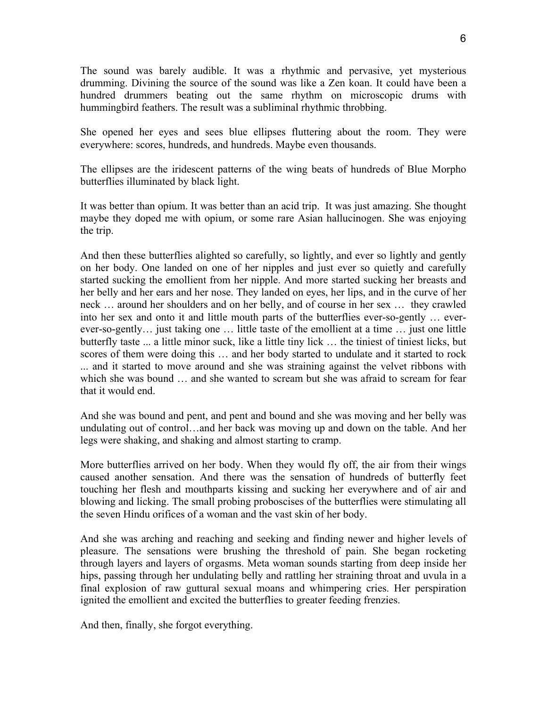The sound was barely audible. It was a rhythmic and pervasive, yet mysterious drumming. Divining the source of the sound was like a Zen koan. It could have been a hundred drummers beating out the same rhythm on microscopic drums with hummingbird feathers. The result was a subliminal rhythmic throbbing.

She opened her eyes and sees blue ellipses fluttering about the room. They were everywhere: scores, hundreds, and hundreds. Maybe even thousands.

The ellipses are the iridescent patterns of the wing beats of hundreds of Blue Morpho butterflies illuminated by black light.

It was better than opium. It was better than an acid trip. It was just amazing. She thought maybe they doped me with opium, or some rare Asian hallucinogen. She was enjoying the trip.

And then these butterflies alighted so carefully, so lightly, and ever so lightly and gently on her body. One landed on one of her nipples and just ever so quietly and carefully started sucking the emollient from her nipple. And more started sucking her breasts and her belly and her ears and her nose. They landed on eyes, her lips, and in the curve of her neck … around her shoulders and on her belly, and of course in her sex … they crawled into her sex and onto it and little mouth parts of the butterflies ever-so-gently … everever-so-gently… just taking one … little taste of the emollient at a time … just one little butterfly taste ... a little minor suck, like a little tiny lick … the tiniest of tiniest licks, but scores of them were doing this … and her body started to undulate and it started to rock ... and it started to move around and she was straining against the velvet ribbons with which she was bound … and she wanted to scream but she was afraid to scream for fear that it would end.

And she was bound and pent, and pent and bound and she was moving and her belly was undulating out of control…and her back was moving up and down on the table. And her legs were shaking, and shaking and almost starting to cramp.

More butterflies arrived on her body. When they would fly off, the air from their wings caused another sensation. And there was the sensation of hundreds of butterfly feet touching her flesh and mouthparts kissing and sucking her everywhere and of air and blowing and licking. The small probing proboscises of the butterflies were stimulating all the seven Hindu orifices of a woman and the vast skin of her body.

And she was arching and reaching and seeking and finding newer and higher levels of pleasure. The sensations were brushing the threshold of pain. She began rocketing through layers and layers of orgasms. Meta woman sounds starting from deep inside her hips, passing through her undulating belly and rattling her straining throat and uvula in a final explosion of raw guttural sexual moans and whimpering cries. Her perspiration ignited the emollient and excited the butterflies to greater feeding frenzies.

And then, finally, she forgot everything.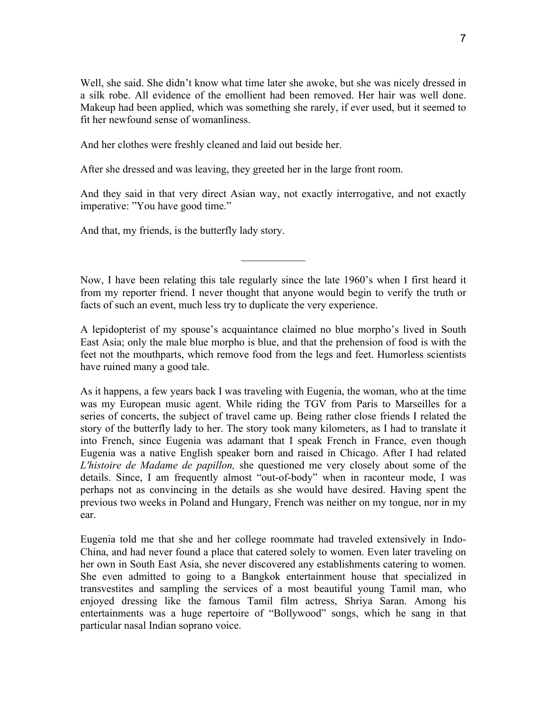Well, she said. She didn't know what time later she awoke, but she was nicely dressed in a silk robe. All evidence of the emollient had been removed. Her hair was well done. Makeup had been applied, which was something she rarely, if ever used, but it seemed to fit her newfound sense of womanliness.

And her clothes were freshly cleaned and laid out beside her.

After she dressed and was leaving, they greeted her in the large front room.

And they said in that very direct Asian way, not exactly interrogative, and not exactly imperative: "You have good time."

And that, my friends, is the butterfly lady story.

Now, I have been relating this tale regularly since the late 1960's when I first heard it from my reporter friend. I never thought that anyone would begin to verify the truth or facts of such an event, much less try to duplicate the very experience.

 $\mathcal{L}_\text{max}$ 

A lepidopterist of my spouse's acquaintance claimed no blue morpho's lived in South East Asia; only the male blue morpho is blue, and that the prehension of food is with the feet not the mouthparts, which remove food from the legs and feet. Humorless scientists have ruined many a good tale.

As it happens, a few years back I was traveling with Eugenia, the woman, who at the time was my European music agent. While riding the TGV from Paris to Marseilles for a series of concerts, the subject of travel came up. Being rather close friends I related the story of the butterfly lady to her. The story took many kilometers, as I had to translate it into French, since Eugenia was adamant that I speak French in France, even though Eugenia was a native English speaker born and raised in Chicago. After I had related *L'histoire de Madame de papillon,* she questioned me very closely about some of the details. Since, I am frequently almost "out-of-body" when in raconteur mode, I was perhaps not as convincing in the details as she would have desired. Having spent the previous two weeks in Poland and Hungary, French was neither on my tongue, nor in my ear.

Eugenia told me that she and her college roommate had traveled extensively in Indo-China, and had never found a place that catered solely to women. Even later traveling on her own in South East Asia, she never discovered any establishments catering to women. She even admitted to going to a Bangkok entertainment house that specialized in transvestites and sampling the services of a most beautiful young Tamil man, who enjoyed dressing like the famous Tamil film actress, Shriya Saran. Among his entertainments was a huge repertoire of "Bollywood" songs, which he sang in that particular nasal Indian soprano voice.